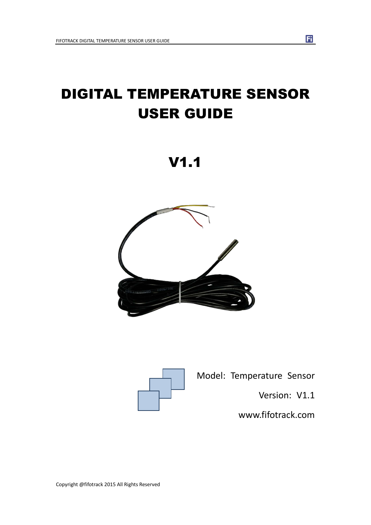# DIGITAL TEMPERATURE SENSOR USER GUIDE







Model: Temperature Sensor

Version: V1.1

[www.fifotrack.com](http://www.fifotrack.com/)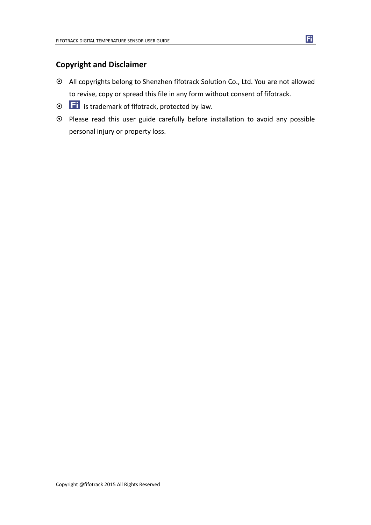### **Copyright and Disclaimer**

- All copyrights belong to Shenzhen fifotrack Solution Co., Ltd. You are not allowed to revise, copy or spread this file in any form without consent of fifotrack.
- $\odot$   $\Box$  is trademark of fifotrack, protected by law.
- Please read this user guide carefully before installation to avoid any possible personal injury or property loss.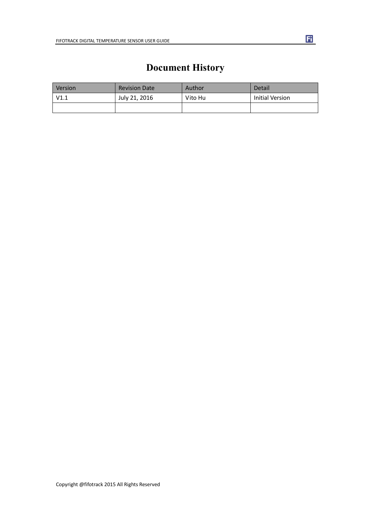## **Document History**

<span id="page-2-0"></span>

| Version | <b>Revision Date</b> | Author  | Detail          |
|---------|----------------------|---------|-----------------|
| V1.1    | July 21, 2016        | Vito Hu | Initial Version |
|         |                      |         |                 |

Copyright @fifotrack 2015 All Rights Reserved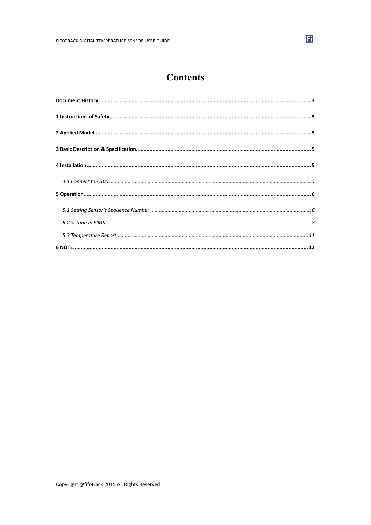### **Contents**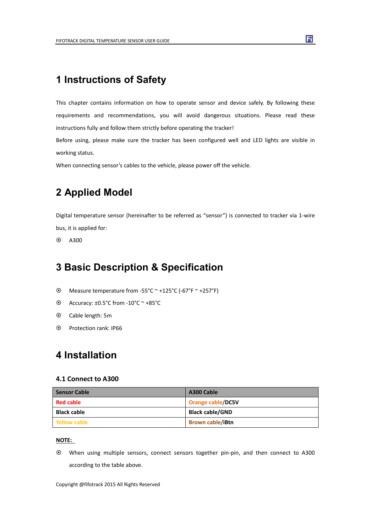### <span id="page-4-0"></span>**1 Instructions of Safety**

This chapter contains information on how to operate sensor and device safely. By following these requirements and recommendations, you will avoid dangerous situations. Please read these instructions fully and follow them strictly before operating the tracker!

Before using, please make sure the tracker has been configured well and LED lights are visible in working status.

When connecting sensor's cables to the vehicle, please power off the vehicle.

### **2 Applied Model**

Digital temperature sensor (hereinafter to be referred as "sensor") is connected to tracker via 1-wire bus, it is applied for:

 $\odot$  A300

### **3 Basic Description & Specification**

- Measure temperature from -55°C ~ +125°C (-67°F ~ +257°F)
- $\odot$  Accuracy: ±0.5°C from -10°C ~ +85°C
- Cable length: 5m
- Protection rank: IP66

### **4 Installation**

#### **4.1 Connect to A300**

| <b>Sensor Cable</b> | A300 Cable               |
|---------------------|--------------------------|
| <b>Red cable</b>    | <b>Orange cable/DC5V</b> |
| <b>Black cable</b>  | <b>Black cable/GND</b>   |
| Yellow cable        | <b>Brown cable/iBtn</b>  |

#### **NOTE:**

 When using multiple sensors, connect sensors together pin-pin, and then connect to A300 according to the table above.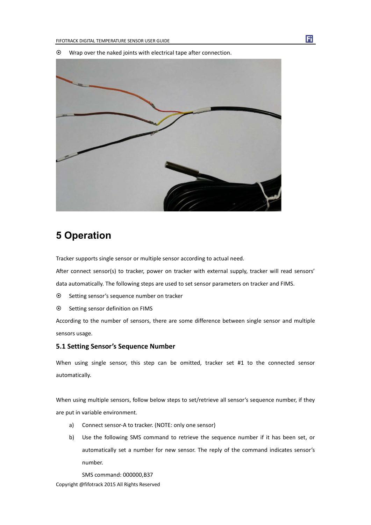$\odot$  Wrap over the naked joints with electrical tape after connection.

<span id="page-5-0"></span>

### **5 Operation**

Tracker supports single sensor or multiple sensor according to actual need.

After connect sensor(s) to tracker, power on tracker with external supply, tracker will read sensors'

data automatically. The following steps are used to set sensor parameters on tracker and FIMS.

- Setting sensor's sequence number on tracker
- $\odot$  Setting sensor definition on FIMS

According to the number of sensors, there are some difference between single sensor and multiple sensors usage.

#### **5.1 Setting Sensor's Sequence Number**

When using single sensor, this step can be omitted, tracker set #1 to the connected sensor automatically.

When using multiple sensors, follow below steps to set/retrieve all sensor's sequence number, if they are put in variable environment.

- a) Connect sensor-A to tracker. (NOTE: only one sensor)
- b) Use the following SMS command to retrieve the sequence number if it has been set, or automatically set a number for new sensor. The reply of the command indicates sensor's number.

Copyright @fifotrack 2015 All Rights Reserved SMS command: 000000,B37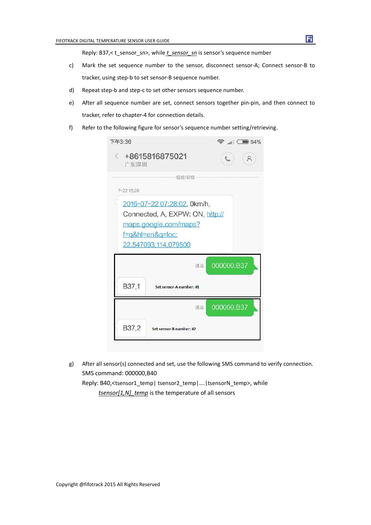Reply: B37,< t\_sensor\_sn>, while *t\_sensor\_sn* is sensor's sequence number

- c) Mark the set sequence number to the sensor, disconnect sensor-A; Connect sensor-B to tracker, using step-b to set sensor-B sequence number.
- d) Repeat step-b and step-c to set other sensors sequence number.
- e) After all sequence number are set, connect sensors together pin-pin, and then connect to tracker, refer to chapter-4 for connection details.
- f) Refer to the following figure for sensor's sequence number setting/retrieving.

| 下午3:36                                                                                                                              | $\widehat{\mathbb{R}}$ $\blacksquare$ 54% |
|-------------------------------------------------------------------------------------------------------------------------------------|-------------------------------------------|
| $\leftarrow$ +8615816875021<br>广东深圳                                                                                                 |                                           |
| 短信/彩信<br>7-22 15:28                                                                                                                 |                                           |
| 2016-07-22 07:28:02, 0km/h,<br>Connected, A, EXPW: ON, http://<br>maps.google.com/maps?<br>f=q&hl=en&q=loc:<br>22.547093,114.079500 |                                           |
| 送达                                                                                                                                  | 000000,B37                                |
| B37,1<br>Set sensor-A number: #1                                                                                                    |                                           |
| 送达                                                                                                                                  | 000000,B37                                |
| B37,2<br>Set sensor-B number: #2                                                                                                    |                                           |

g) After all sensor(s) connected and set, use the following SMS command to verify connection. SMS command: 000000,B40 Reply: B40,<tsensor1\_temp| tsensor2\_temp|….|tsensorN\_temp>, while *tsensor[1,N]\_temp* is the temperature of all sensors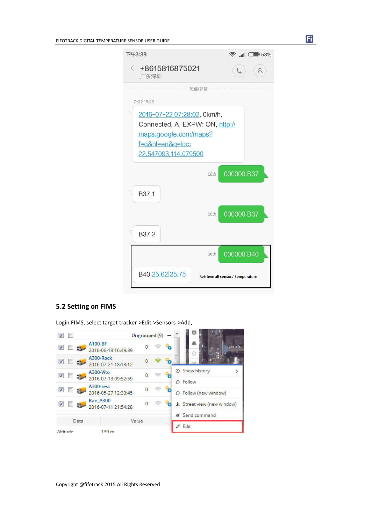<span id="page-7-0"></span>

| 下午3:38                                                                                                                              | $\widehat{\mathbb{R}}$ at $\widehat{\mathbb{R}}$ 53% |
|-------------------------------------------------------------------------------------------------------------------------------------|------------------------------------------------------|
| $\leq$ +8615816875021<br>广东深圳                                                                                                       |                                                      |
| 短信/彩信                                                                                                                               |                                                      |
| 7-22 15:28                                                                                                                          |                                                      |
| 2016-07-22 07:28:02, 0km/h,<br>Connected, A, EXPW: ON, http://<br>maps.google.com/maps?<br>f=q&hl=en&q=loc:<br>22.547093.114.079500 |                                                      |
|                                                                                                                                     | 000000,B37<br>送达                                     |
| B37,1                                                                                                                               |                                                      |
|                                                                                                                                     | 000000,B37<br>送达                                     |
| B37,2                                                                                                                               |                                                      |
|                                                                                                                                     | 000000,B40<br>送达                                     |
| B40,25.62 25.75                                                                                                                     | Retrieve all sensors' temperature                    |

固

#### **5.2 Setting on FIMS**

Login FIMS, select target tracker->Edit->Sensors->Add,



Copyright @fifotrack 2015 All Rights Reserved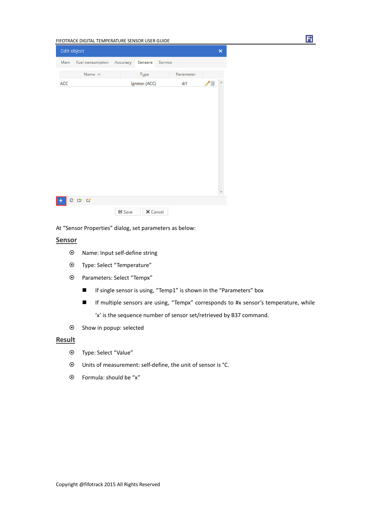|      | Edit object               |               |                |         |           |    | $\times$ |
|------|---------------------------|---------------|----------------|---------|-----------|----|----------|
| Main | Fuel consumption Accuracy |               | Sensors        | Service |           |    |          |
|      | Name $\land$              |               | Type           |         | Parameter |    |          |
| ACC  |                           |               | Ignition (ACC) |         | di1       | ↗≡ |          |
|      |                           |               |                |         |           |    |          |
|      |                           |               |                |         |           |    |          |
|      |                           |               |                |         |           |    |          |
|      |                           |               |                |         |           |    |          |
|      |                           |               |                |         |           |    |          |
|      |                           |               |                |         |           |    |          |
|      |                           |               |                |         |           |    |          |
|      |                           |               |                |         |           |    |          |
|      |                           |               |                |         |           |    |          |
|      |                           |               |                |         |           |    |          |
|      | 0 0 0                     |               |                |         |           |    |          |
|      |                           | <b>■ Save</b> | X Cancel       |         |           |    |          |

At "Sensor Properties" dialog, set parameters as below:

#### **Sensor**

- Name: Input self-define string
- Type: Select "Temperature"
- Parameters: Select "Tempx"
	- If single sensor is using, "Temp1" is shown in the "Parameters" box
	- If multiple sensors are using, "Tempx" corresponds to #x sensor's temperature, while 'x' is the sequence number of sensor set/retrieved by B37 command.
- $\odot$  Show in popup: selected

#### **Result**

- Type: Select "Value"
- Units of measurement: self-define, the unit of sensor is °C.
- Formula: should be "x"

Copyright @fifotrack 2015 All Rights Reserved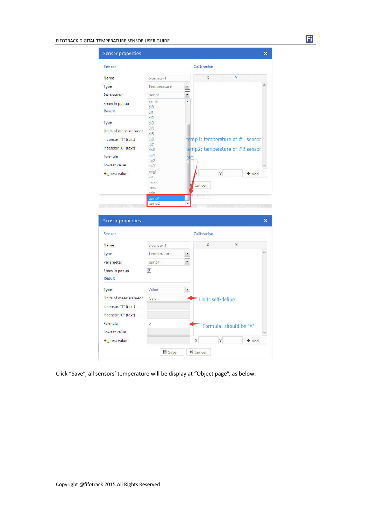| Sensor properties           |                                   |                                 |                        |   |         |
|-----------------------------|-----------------------------------|---------------------------------|------------------------|---|---------|
| Sensor                      |                                   | Calibration                     |                        |   |         |
| Name                        | t-sensor-1                        | $\bar{\mathsf{x}}$              |                        | Ÿ |         |
| Type                        | Temperature                       | ×                               |                        |   |         |
| Parameter                   | temp1                             | $\overline{\phantom{0}}$        |                        |   |         |
| Show in popup               | cellid                            | ۸                               |                        |   |         |
| Result                      | di0<br>di1                        |                                 |                        |   |         |
|                             | di2                               |                                 |                        |   |         |
| Type                        | di3<br>diA                        |                                 |                        |   |         |
| Units of measurement        | di5                               |                                 |                        |   |         |
| If sensor "1" (text)        | di6<br>di7                        | temp1: temperature of #1 sensor |                        |   |         |
| If sensor "0" (text)        | do0                               | temp2: temperature of #2 sensor |                        |   |         |
| Formula                     | dof<br>do2                        | eic.<br>E                       |                        |   |         |
| Lowest value                | do3                               |                                 |                        |   |         |
| <b>Highest value</b>        | engh<br>lac                       |                                 | Ÿ                      |   | $+$ Add |
|                             | mcc.                              |                                 |                        |   |         |
|                             |                                   |                                 |                        |   |         |
|                             | mnc                               | Cancel                          |                        |   |         |
|                             | odo<br>temp1<br>temp <sub>2</sub> | Cancel                          |                        |   |         |
| Sensor properties<br>Sensor |                                   | Calibration                     |                        |   |         |
|                             |                                   |                                 |                        |   |         |
| Name                        | t-sensor-1                        | X                               |                        |   |         |
| Type                        | Temperature                       | $\overline{\phantom{a}}$        |                        |   |         |
| Parameter                   | temp1                             | $\overline{\phantom{0}}$        |                        |   |         |
| Show in popup               | $\overline{v}$                    |                                 |                        |   |         |
| Result                      |                                   |                                 |                        |   |         |
| Type                        | Value                             | $\overline{\phantom{a}}$        |                        |   |         |
| Units of measurement        | Cels                              |                                 | Unit: self-define      |   |         |
| If sensor "1" (text)        |                                   |                                 |                        |   |         |
| If sensor "0" (text)        |                                   |                                 |                        |   |         |
| Formula                     |                                   |                                 |                        |   |         |
| Lowest value                | $\boldsymbol{\mathsf{x}}$         |                                 | Formula: should be "X" |   |         |
|                             |                                   |                                 |                        |   |         |
|                             |                                   |                                 |                        |   |         |
|                             |                                   |                                 |                        |   |         |

Fi

Click "Save", all sensors' temperature will be display at "Object page", as below: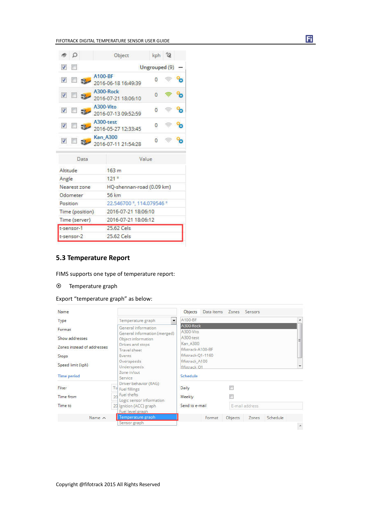<span id="page-10-0"></span>

| æ.              | Ω                           |                                      |                 |                     | Object                    |               |   | kph 2 |  |  |
|-----------------|-----------------------------|--------------------------------------|-----------------|---------------------|---------------------------|---------------|---|-------|--|--|
|                 | $\mathcal{I}$ $\mathcal{I}$ |                                      |                 |                     |                           | Ungrouped (9) |   |       |  |  |
|                 | $V = \mathcal{R}$           |                                      | A100-BF         |                     | 2016-06-18 16:49:39       |               | ō |       |  |  |
|                 |                             | $\overline{v}$ $\Box$ $\overline{v}$ |                 | A300-Rock           | 2016-07-21 18:06:10       |               | n |       |  |  |
|                 |                             | $\sqrt{2}$ $\sqrt{2}$                | A300-Vito       |                     | 2016-07-13 09:52:59       |               | n |       |  |  |
|                 | <b>V</b>                    |                                      | A300-test       |                     | 2016-05-27 12:33:45       |               | 0 |       |  |  |
|                 | $\sqrt{2}$ $\sqrt{2}$       |                                      | <b>Kan A300</b> |                     | 2016-07-11 21:54:28       |               | ō |       |  |  |
|                 |                             | Data                                 |                 |                     |                           | Value         |   |       |  |  |
| Altitude        |                             |                                      |                 | 163 <sub>m</sub>    |                           |               |   |       |  |  |
| Angle           |                             |                                      |                 | 121 <sup>o</sup>    |                           |               |   |       |  |  |
|                 |                             | Nearest zone                         |                 |                     | HQ-shennan-road (0.09 km) |               |   |       |  |  |
|                 | Odometer                    |                                      |                 | 56 km               |                           |               |   |       |  |  |
|                 | Position                    |                                      |                 |                     | 22.546700 °, 114.079546 ° |               |   |       |  |  |
| Time (position) |                             |                                      |                 | 2016-07-21 18:06:10 |                           |               |   |       |  |  |
| Time (server)   |                             |                                      |                 | 2016-07-21 18:06:12 |                           |               |   |       |  |  |
|                 | t-sensor-1                  |                                      |                 | 25.62 Cels          |                           |               |   |       |  |  |
|                 | t-sensor-2                  |                                      |                 | 25.62 Cels          |                           |               |   |       |  |  |

#### **5.3 Temperature Report**

FIMS supports one type of temperature report:

#### Temperature graph

Export "temperature graph" as below:



Ħ